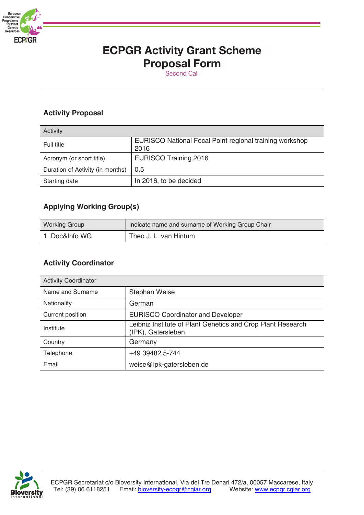

# **ECPGR Activity Grant Scheme Proposal Form**

# **Activity Proposal**

| Activity                         |                                                                 |
|----------------------------------|-----------------------------------------------------------------|
| Full title                       | EURISCO National Focal Point regional training workshop<br>2016 |
| Acronym (or short title)         | <b>EURISCO Training 2016</b>                                    |
| Duration of Activity (in months) | 0.5                                                             |
| Starting date                    | In 2016, to be decided                                          |

## **Applying Working Group(s)**

| <b>Working Group</b> | Indicate name and surname of Working Group Chair |
|----------------------|--------------------------------------------------|
| 1. Doc&Info WG       | Theo J. L. van Hintum                            |

### **Activity Coordinator**

| <b>Activity Coordinator</b> |                                                                                   |  |
|-----------------------------|-----------------------------------------------------------------------------------|--|
| Name and Surname            | <b>Stephan Weise</b>                                                              |  |
| <b>Nationality</b>          | German                                                                            |  |
| Current position            | <b>EURISCO Coordinator and Developer</b>                                          |  |
| Institute                   | Leibniz Institute of Plant Genetics and Crop Plant Research<br>(IPK), Gatersleben |  |
| Country                     | Germany                                                                           |  |
| Telephone                   | +49 39482 5-744                                                                   |  |
| Email                       | weise@ipk-gatersleben.de                                                          |  |

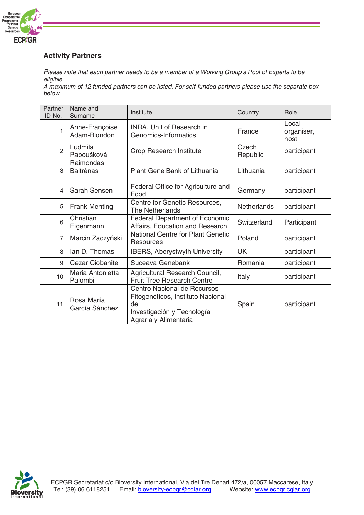

## **Activity Partners**

*Please note that each partner needs to be a member of a Working Group's Pool of Experts to be eligible.* 

*A maximum of 12 funded partners can be listed. For self-funded partners please use the separate box below.*

| Partner<br>ID No. | Name and<br>Surname            | Institute                                                                                                                     | Country            | Role                        |
|-------------------|--------------------------------|-------------------------------------------------------------------------------------------------------------------------------|--------------------|-----------------------------|
| $\overline{1}$    | Anne-Françoise<br>Adam-Blondon | <b>INRA, Unit of Research in</b><br>Genomics-Informatics                                                                      | France             | Local<br>organiser,<br>host |
| $\overline{2}$    | Ludmila<br>Papoušková          | Crop Research Institute                                                                                                       | Czech<br>Republic  | participant                 |
| 3                 | Raimondas<br><b>Baltrenas</b>  | Plant Gene Bank of Lithuania                                                                                                  | Lithuania          | participant                 |
| 4                 | Sarah Sensen                   | Federal Office for Agriculture and<br>Food                                                                                    | Germany            | participant                 |
| 5                 | <b>Frank Menting</b>           | Centre for Genetic Resources,<br><b>The Netherlands</b>                                                                       | <b>Netherlands</b> | participant                 |
| 6                 | Christian<br>Eigenmann         | <b>Federal Department of Economic</b><br>Affairs, Education and Research                                                      | Switzerland        | Participant                 |
| $\overline{7}$    | Marcin Zaczyński               | <b>National Centre for Plant Genetic</b><br>Resources                                                                         | Poland             | participant                 |
| 8                 | lan D. Thomas                  | <b>IBERS, Aberystwyth University</b>                                                                                          | <b>UK</b>          | participant                 |
| 9                 | Cezar Ciobanitei               | Suceava Genebank                                                                                                              | Romania            | participant                 |
| 10 <sup>1</sup>   | Maria Antonietta<br>Palombi    | Agricultural Research Council,<br><b>Fruit Tree Research Centre</b>                                                           | Italy              | participant                 |
| 11                | Rosa María<br>García Sánchez   | Centro Nacional de Recursos<br>Fitogenéticos, Instituto Nacional<br>de<br>Investigación y Tecnología<br>Agraria y Alimentaria | Spain              | participant                 |

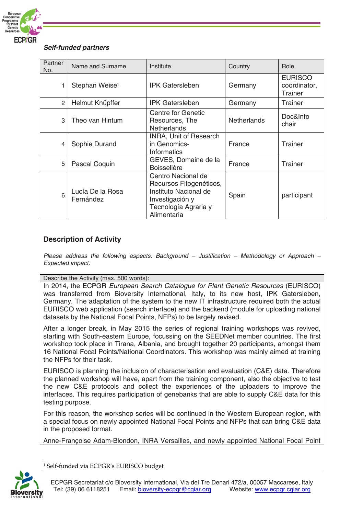

#### *Self-funded partners*

| Partner<br>No. | Name and Surname              | Institute                                                                                                                        | Country            | Role                                      |
|----------------|-------------------------------|----------------------------------------------------------------------------------------------------------------------------------|--------------------|-------------------------------------------|
|                | Stephan Weise <sup>1</sup>    | <b>IPK Gatersleben</b>                                                                                                           | Germany            | <b>EURISCO</b><br>coordinator,<br>Trainer |
| $\mathcal{P}$  | Helmut Knüpffer               | <b>IPK Gatersleben</b>                                                                                                           | Germany            | <b>Trainer</b>                            |
| 3              | Theo van Hintum               | Centre for Genetic<br>Resources, The<br><b>Netherlands</b>                                                                       | <b>Netherlands</b> | Doc&Info<br>chair                         |
| 4              | Sophie Durand                 | <b>INRA, Unit of Research</b><br>in Genomics-<br>Informatics                                                                     | France             | Trainer                                   |
| 5              | Pascal Coquin                 | GEVES, Domaine de la<br><b>Boisselière</b>                                                                                       | France             | Trainer                                   |
| 6              | Lucía De la Rosa<br>Fernández | Centro Nacional de<br>Recursos Fitogenéticos,<br>Instituto Nacional de<br>Investigación y<br>Tecnología Agraria y<br>Alimentaria | Spain              | participant                               |

### **Description of Activity**

*Please address the following aspects: Background – Justification – Methodology or Approach – Expected impact.*

Describe the Activity (max. 500 words):

In 2014, the ECPGR *European Search Catalogue for Plant Genetic Resources* (EURISCO) was transferred from Bioversity International, Italy, to its new host, IPK Gatersleben, Germany. The adaptation of the system to the new IT infrastructure required both the actual EURISCO web application (search interface) and the backend (module for uploading national datasets by the National Focal Points, NFPs) to be largely revised.

After a longer break, in May 2015 the series of regional training workshops was revived, starting with South-eastern Europe, focussing on the SEEDNet member countries. The first workshop took place in Tirana, Albania, and brought together 20 participants, amongst them 16 National Focal Points/National Coordinators. This workshop was mainly aimed at training the NFPs for their task.

EURISCO is planning the inclusion of characterisation and evaluation (C&E) data. Therefore the planned workshop will have, apart from the training component, also the objective to test the new C&E protocols and collect the experiences of the uploaders to improve the interfaces. This requires participation of genebanks that are able to supply C&E data for this testing purpose.

For this reason, the workshop series will be continued in the Western European region, with a special focus on newly appointed National Focal Points and NFPs that can bring C&E data in the proposed format.

Anne-Françoise Adam-Blondon, INRA Versailles, and newly appointed National Focal Point

 *<sup>1</sup> Self-funded via ECPGR's EURISCO budget*

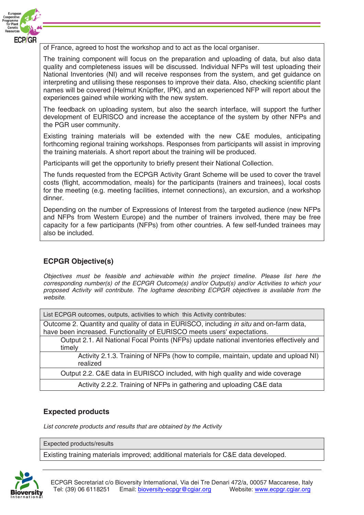

of France, agreed to host the workshop and to act as the local organiser.

The training component will focus on the preparation and uploading of data, but also data quality and completeness issues will be discussed. Individual NFPs will test uploading their National Inventories (NI) and will receive responses from the system, and get guidance on interpreting and utilising these responses to improve their data. Also, checking scientific plant names will be covered (Helmut Knüpffer, IPK), and an experienced NFP will report about the experiences gained while working with the new system.

The feedback on uploading system, but also the search interface, will support the further development of EURISCO and increase the acceptance of the system by other NFPs and the PGR user community.

Existing training materials will be extended with the new C&E modules, anticipating forthcoming regional training workshops. Responses from participants will assist in improving the training materials. A short report about the training will be produced.

Participants will get the opportunity to briefly present their National Collection.

The funds requested from the ECPGR Activity Grant Scheme will be used to cover the travel costs (flight, accommodation, meals) for the participants (trainers and trainees), local costs for the meeting (e.g. meeting facilities, internet connections), an excursion, and a workshop dinner.

Depending on the number of Expressions of Interest from the targeted audience (new NFPs and NFPs from Western Europe) and the number of trainers involved, there may be free capacity for a few participants (NFPs) from other countries. A few self-funded trainees may also be included.

### **ECPGR Objective(s)**

*Objectives must be feasible and achievable within the project timeline. Please list here the corresponding number(s) of the ECPGR Outcome(s) and/or Output(s) and/or Activities to which your proposed Activity will contribute. The logframe describing ECPGR objectives is available from the website.*

List ECPGR outcomes, outputs, activities to which this Activity contributes:

Outcome 2. Quantity and quality of data in EURISCO, including *in situ* and on-farm data, have been increased. Functionality of EURISCO meets users' expectations.

Output 2.1. All National Focal Points (NFPs) update national inventories effectively and timely

Activity 2.1.3. Training of NFPs (how to compile, maintain, update and upload NI) realized

Output 2.2. C&E data in EURISCO included, with high quality and wide coverage

Activity 2.2.2. Training of NFPs in gathering and uploading C&E data

### **Expected products**

*List concrete products and results that are obtained by the Activity*

Expected products/results

Existing training materials improved; additional materials for C&E data developed.

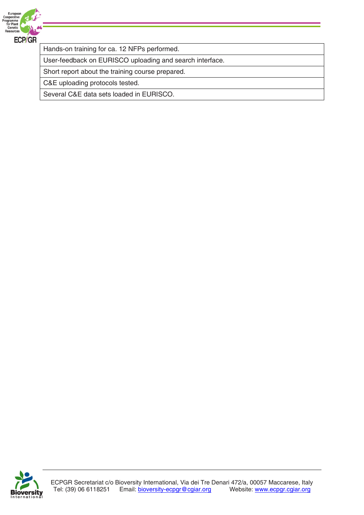

Hands-on training for ca. 12 NFPs performed.

User-feedback on EURISCO uploading and search interface.

Short report about the training course prepared.

C&E uploading protocols tested.

Several C&E data sets loaded in EURISCO.